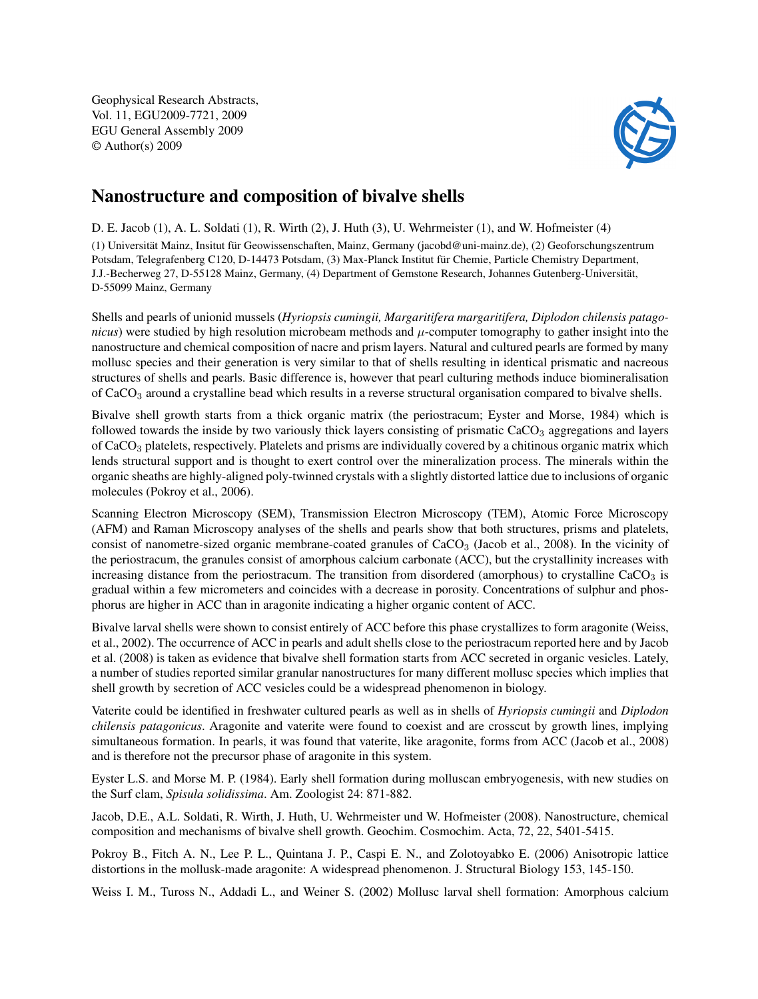Geophysical Research Abstracts, Vol. 11, EGU2009-7721, 2009 EGU General Assembly 2009 © Author(s) 2009



## Nanostructure and composition of bivalve shells

D. E. Jacob (1), A. L. Soldati (1), R. Wirth (2), J. Huth (3), U. Wehrmeister (1), and W. Hofmeister (4)

(1) Universität Mainz, Insitut für Geowissenschaften, Mainz, Germany (jacobd@uni-mainz.de), (2) Geoforschungszentrum Potsdam, Telegrafenberg C120, D-14473 Potsdam, (3) Max-Planck Institut für Chemie, Particle Chemistry Department, J.J.-Becherweg 27, D-55128 Mainz, Germany, (4) Department of Gemstone Research, Johannes Gutenberg-Universität, D-55099 Mainz, Germany

Shells and pearls of unionid mussels (*Hyriopsis cumingii, Margaritifera margaritifera, Diplodon chilensis patagonicus*) were studied by high resolution microbeam methods and  $\mu$ -computer tomography to gather insight into the nanostructure and chemical composition of nacre and prism layers. Natural and cultured pearls are formed by many mollusc species and their generation is very similar to that of shells resulting in identical prismatic and nacreous structures of shells and pearls. Basic difference is, however that pearl culturing methods induce biomineralisation of CaCO<sup>3</sup> around a crystalline bead which results in a reverse structural organisation compared to bivalve shells.

Bivalve shell growth starts from a thick organic matrix (the periostracum; Eyster and Morse, 1984) which is followed towards the inside by two variously thick layers consisting of prismatic CaCO<sub>3</sub> aggregations and layers of CaCO<sub>3</sub> platelets, respectively. Platelets and prisms are individually covered by a chitinous organic matrix which lends structural support and is thought to exert control over the mineralization process. The minerals within the organic sheaths are highly-aligned poly-twinned crystals with a slightly distorted lattice due to inclusions of organic molecules (Pokroy et al., 2006).

Scanning Electron Microscopy (SEM), Transmission Electron Microscopy (TEM), Atomic Force Microscopy (AFM) and Raman Microscopy analyses of the shells and pearls show that both structures, prisms and platelets, consist of nanometre-sized organic membrane-coated granules of CaCO<sub>3</sub> (Jacob et al., 2008). In the vicinity of the periostracum, the granules consist of amorphous calcium carbonate (ACC), but the crystallinity increases with increasing distance from the periostracum. The transition from disordered (amorphous) to crystalline  $CaCO<sub>3</sub>$  is gradual within a few micrometers and coincides with a decrease in porosity. Concentrations of sulphur and phosphorus are higher in ACC than in aragonite indicating a higher organic content of ACC.

Bivalve larval shells were shown to consist entirely of ACC before this phase crystallizes to form aragonite (Weiss, et al., 2002). The occurrence of ACC in pearls and adult shells close to the periostracum reported here and by Jacob et al. (2008) is taken as evidence that bivalve shell formation starts from ACC secreted in organic vesicles. Lately, a number of studies reported similar granular nanostructures for many different mollusc species which implies that shell growth by secretion of ACC vesicles could be a widespread phenomenon in biology.

Vaterite could be identified in freshwater cultured pearls as well as in shells of *Hyriopsis cumingii* and *Diplodon chilensis patagonicus*. Aragonite and vaterite were found to coexist and are crosscut by growth lines, implying simultaneous formation. In pearls, it was found that vaterite, like aragonite, forms from ACC (Jacob et al., 2008) and is therefore not the precursor phase of aragonite in this system.

Eyster L.S. and Morse M. P. (1984). Early shell formation during molluscan embryogenesis, with new studies on the Surf clam, *Spisula solidissima*. Am. Zoologist 24: 871-882.

Jacob, D.E., A.L. Soldati, R. Wirth, J. Huth, U. Wehrmeister und W. Hofmeister (2008). Nanostructure, chemical composition and mechanisms of bivalve shell growth. Geochim. Cosmochim. Acta, 72, 22, 5401-5415.

Pokroy B., Fitch A. N., Lee P. L., Quintana J. P., Caspi E. N., and Zolotoyabko E. (2006) Anisotropic lattice distortions in the mollusk-made aragonite: A widespread phenomenon. J. Structural Biology 153, 145-150.

Weiss I. M., Tuross N., Addadi L., and Weiner S. (2002) Mollusc larval shell formation: Amorphous calcium